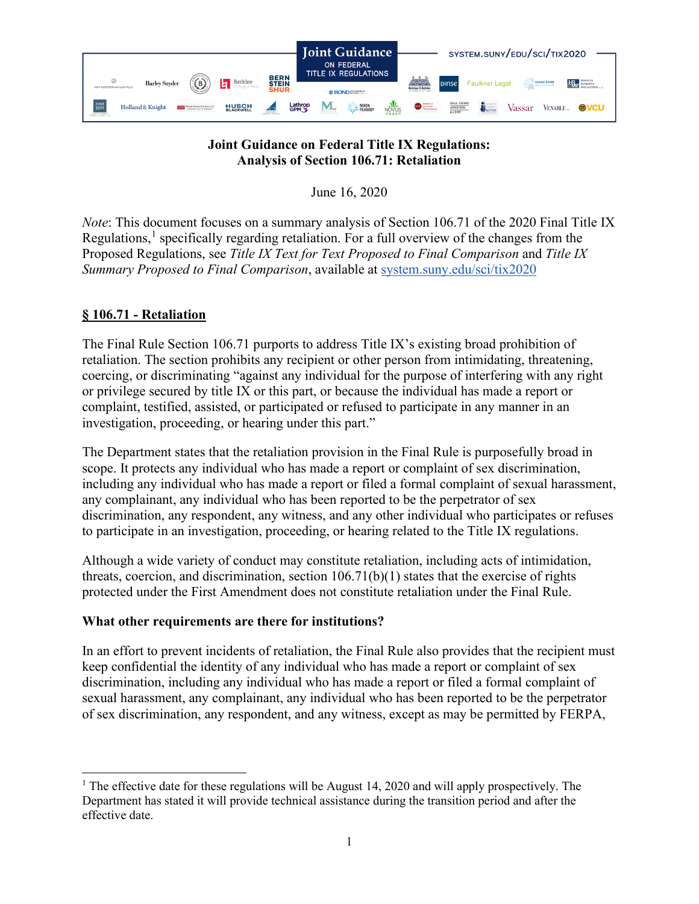

# **Joint Guidance on Federal Title IX Regulations: Analysis of Section 106.71: Retaliation**

June 16, 2020

*Note*: This document focuses on a summary analysis of Section 106.71 of the 2020 Final Title IX Regulations,<sup>[1](#page-0-0)</sup> specifically regarding retaliation. For a full overview of the changes from the Proposed Regulations, see *Title IX Text for Text Proposed to Final Comparison* and *Title IX Summary Proposed to Final Comparison*, available at [system.suny.edu/sci/tix2020](https://system.suny.edu/sci/tix2020/)

# **§ 106.71 - Retaliation**

The Final Rule Section 106.71 purports to address Title IX's existing broad prohibition of retaliation. The section prohibits any recipient or other person from intimidating, threatening, coercing, or discriminating "against any individual for the purpose of interfering with any right or privilege secured by title IX or this part, or because the individual has made a report or complaint, testified, assisted, or participated or refused to participate in any manner in an investigation, proceeding, or hearing under this part."

The Department states that the retaliation provision in the Final Rule is purposefully broad in scope. It protects any individual who has made a report or complaint of sex discrimination, including any individual who has made a report or filed a formal complaint of sexual harassment, any complainant, any individual who has been reported to be the perpetrator of sex discrimination, any respondent, any witness, and any other individual who participates or refuses to participate in an investigation, proceeding, or hearing related to the Title IX regulations.

Although a wide variety of conduct may constitute retaliation, including acts of intimidation, threats, coercion, and discrimination, section 106.71(b)(1) states that the exercise of rights protected under the First Amendment does not constitute retaliation under the Final Rule.

## **What other requirements are there for institutions?**

In an effort to prevent incidents of retaliation, the Final Rule also provides that the recipient must keep confidential the identity of any individual who has made a report or complaint of sex discrimination, including any individual who has made a report or filed a formal complaint of sexual harassment, any complainant, any individual who has been reported to be the perpetrator of sex discrimination, any respondent, and any witness, except as may be permitted by FERPA,

<span id="page-0-0"></span><sup>&</sup>lt;sup>1</sup> The effective date for these regulations will be August 14, 2020 and will apply prospectively. The Department has stated it will provide technical assistance during the transition period and after the effective date.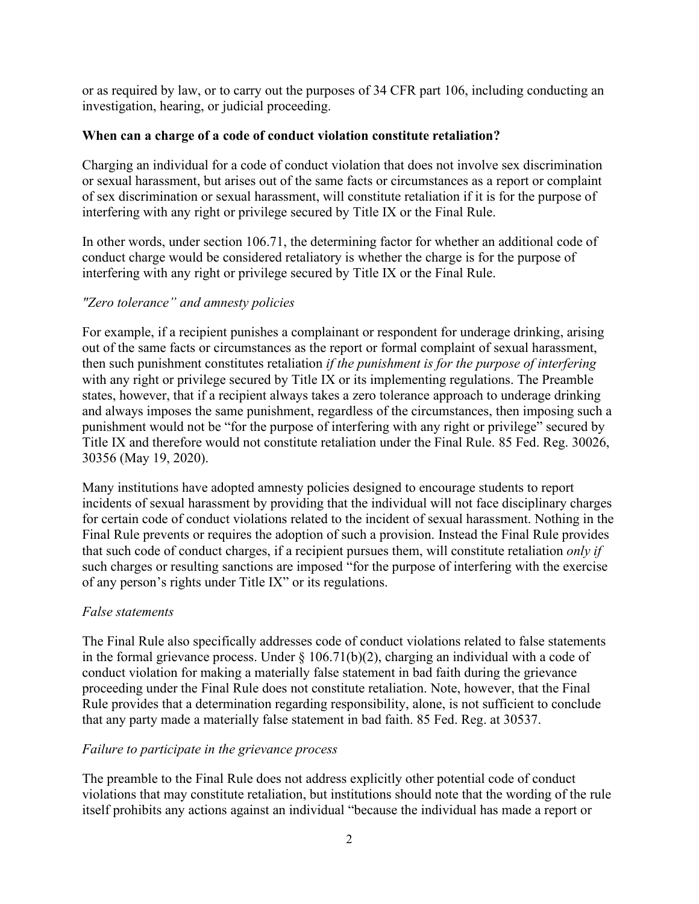or as required by law, or to carry out the purposes of 34 CFR part 106, including conducting an investigation, hearing, or judicial proceeding.

### **When can a charge of a code of conduct violation constitute retaliation?**

Charging an individual for a code of conduct violation that does not involve sex discrimination or sexual harassment, but arises out of the same facts or circumstances as a report or complaint of sex discrimination or sexual harassment, will constitute retaliation if it is for the purpose of interfering with any right or privilege secured by Title IX or the Final Rule.

In other words, under section 106.71, the determining factor for whether an additional code of conduct charge would be considered retaliatory is whether the charge is for the purpose of interfering with any right or privilege secured by Title IX or the Final Rule.

### *"Zero tolerance" and amnesty policies*

For example, if a recipient punishes a complainant or respondent for underage drinking, arising out of the same facts or circumstances as the report or formal complaint of sexual harassment, then such punishment constitutes retaliation *if the punishment is for the purpose of interfering*  with any right or privilege secured by Title IX or its implementing regulations. The Preamble states, however, that if a recipient always takes a zero tolerance approach to underage drinking and always imposes the same punishment, regardless of the circumstances, then imposing such a punishment would not be "for the purpose of interfering with any right or privilege" secured by Title IX and therefore would not constitute retaliation under the Final Rule. 85 Fed. Reg. 30026, 30356 (May 19, 2020).

Many institutions have adopted amnesty policies designed to encourage students to report incidents of sexual harassment by providing that the individual will not face disciplinary charges for certain code of conduct violations related to the incident of sexual harassment. Nothing in the Final Rule prevents or requires the adoption of such a provision. Instead the Final Rule provides that such code of conduct charges, if a recipient pursues them, will constitute retaliation *only if* such charges or resulting sanctions are imposed "for the purpose of interfering with the exercise of any person's rights under Title IX" or its regulations.

## *False statements*

The Final Rule also specifically addresses code of conduct violations related to false statements in the formal grievance process. Under  $\S$  106.71(b)(2), charging an individual with a code of conduct violation for making a materially false statement in bad faith during the grievance proceeding under the Final Rule does not constitute retaliation. Note, however, that the Final Rule provides that a determination regarding responsibility, alone, is not sufficient to conclude that any party made a materially false statement in bad faith. 85 Fed. Reg. at 30537.

#### *Failure to participate in the grievance process*

The preamble to the Final Rule does not address explicitly other potential code of conduct violations that may constitute retaliation, but institutions should note that the wording of the rule itself prohibits any actions against an individual "because the individual has made a report or